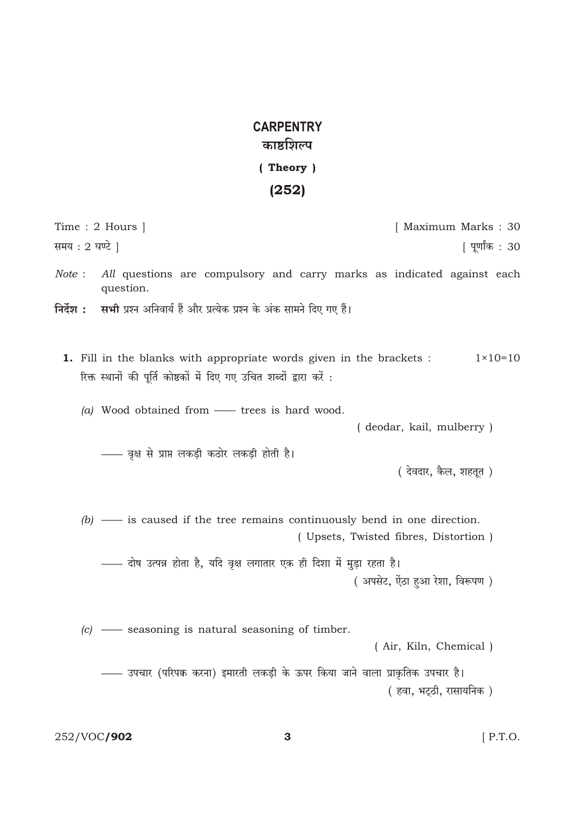## **CARPENTRY** काष्ठशिल्प (Theory)

## $(252)$

|               | Time : $2$ Hours $\vert$                                                                                                                             | [ Maximum Marks : 30                 |
|---------------|------------------------------------------------------------------------------------------------------------------------------------------------------|--------------------------------------|
| समय : 2 घण्टे |                                                                                                                                                      | पूर्णांक : 30                        |
| Note:         | All questions are compulsory and carry marks as indicated against each<br>question.                                                                  |                                      |
| निर्देश :     | <b>सभी</b> प्रश्न अनिवार्य हैं और प्रत्येक प्रश्न के अंक सामने दिए गए हैं।                                                                           |                                      |
|               | <b>1.</b> Fill in the blanks with appropriate words given in the brackets :<br>रिक्त स्थानों की पूर्ति कोष्ठकों में दिए गए उचित शब्दों द्वारा करें : | $1 \times 10 = 10$                   |
|               | (a) Wood obtained from $\longrightarrow$ trees is hard wood.                                                                                         | (deodar, kail, mulberry)             |
|               | —— वृक्ष से प्राप्त लकड़ी कठोर लकड़ी होती है।                                                                                                        | ( देवदार, कैल, शहतूत )               |
|               | $(b)$ — is caused if the tree remains continuously bend in one direction.                                                                            | (Upsets, Twisted fibres, Distortion) |
|               | —— दोष उत्पन्न होता है, यदि वृक्ष लगातार एक ही दिशा में मुड़ा रहता है।                                                                               | ( अपसेट, ऐंठा हुआ रेशा, विरूपण )     |
|               | $(c)$ - seasoning is natural seasoning of timber.                                                                                                    | (Air, Kiln, Chemical)                |
|               | —— उपचार (परिपक्व करना) इमारती लकड़ी के ऊपर किया जाने वाला प्राकृतिक उपचार है।                                                                       | ( हवा, भट्ठी, रासायनिक )             |

 $\overline{3}$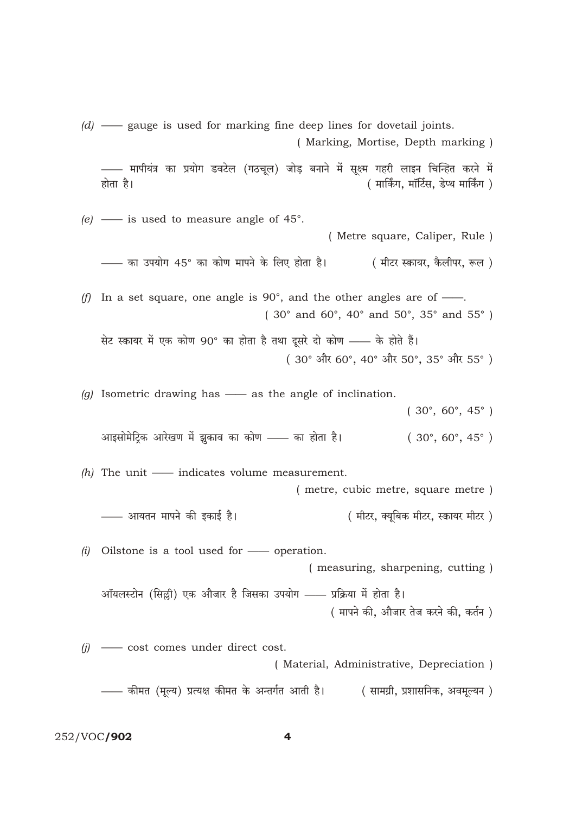—— मापीयंत्र का प्रयोग डवटेल (गठचूल) जोड़ बनाने में सूक्ष्म गहरी लाइन चिन्हित करने में होता है। ( मार्किंग, मॉर्टिस, डेप्थ मार्किंग ) (e) — is used to measure angle of  $45^{\circ}$ . (Metre square, Caliper, Rule) - का उपयोग 45° का कोण मापने के लिए होता है। ( मीटर स्कायर, कैलीपर, रूल ) (f) In a set square, one angle is 90°, and the other angles are of  $\frac{1}{\sqrt{1-\frac{1}{n}}}$ .  $(30^{\circ}$  and  $60^{\circ}$ ,  $40^{\circ}$  and  $50^{\circ}$ ,  $35^{\circ}$  and  $55^{\circ}$ ) सेट स्कायर में एक कोण 90° का होता है तथा दूसरे दो कोण —— के होते हैं। (30° और 60°, 40° और 50°, 35° और 55°) (g) Isometric drawing has  $\frac{1}{1}$  as the angle of inclination.  $(30^{\circ}, 60^{\circ}, 45^{\circ})$ आइसोमेट्कि आरेखण में झुकाव का कोण —— का होता है।  $(30^{\circ}, 60^{\circ}, 45^{\circ})$  $(h)$  The unit — indicates volume measurement. (metre, cubic metre, square metre) - आयतन मापने की इकाई है। ( मीटर, क्युबिक मीटर, स्कायर मीटर)  $(i)$  Oilstone is a tool used for — operation. (measuring, sharpening, cutting) आँयलस्टोन (सिल्ली) एक औजार है जिसका उपयोग —— प्रक्रिया में होता है। (मापने की, औजार तेज करने की, कर्तन)

 $(d)$  — gauge is used for marking fine deep lines for dovetail joints.

(Marking, Mortise, Depth marking)

 $(j)$  - cost comes under direct cost. (Material, Administrative, Depreciation) —— कीमत (मूल्य) प्रत्यक्ष कीमत के अन्तर्गत आती है। ( सामग्री, प्रशासनिक, अवमूल्यन )

252/VOC/902

 $\overline{\mathbf{4}}$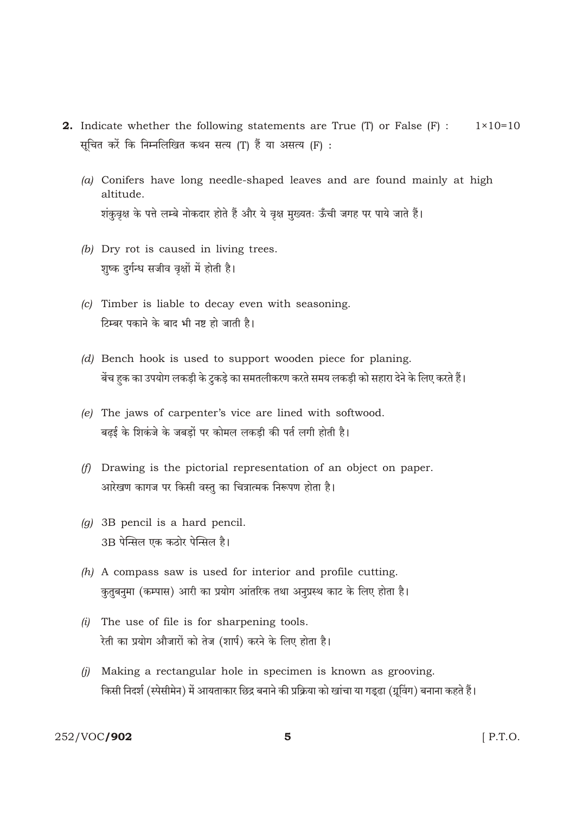- **2.** Indicate whether the following statements are True (T) or False (F) :  $1 \times 10 = 10$ सचित करें कि निम्नलिखित कथन सत्य (T) हैं या असत्य (F):
	- (a) Conifers have long needle-shaped leaves and are found mainly at high altitude. शंकुवृक्ष के पत्ते लम्बे नोकदार होते हैं और ये वृक्ष मुख्यतः ऊँची जगह पर पाये जाते हैं।
	- $(b)$  Dry rot is caused in living trees. शुष्क दुर्गन्ध सजीव वृक्षों में होती है।
	- (c) Timber is liable to decay even with seasoning. टिम्बर पकाने के बाद भी नष्ट हो जाती है।
	- (d) Bench hook is used to support wooden piece for planing. बेंच हक का उपयोग लकड़ी के टुकड़े का समतलीकरण करते समय लकड़ी को सहारा देने के लिए करते हैं।
	- (e) The jaws of carpenter's vice are lined with softwood. बढ़ई के शिकंजे के जबड़ों पर कोमल लकड़ी की पर्त लगी होती है।
	- (f) Drawing is the pictorial representation of an object on paper. आरेखण कागज पर किसी वस्तु का चित्रात्मक निरूपण होता है।
	- $(g)$  3B pencil is a hard pencil. 3B पेन्सिल एक कठोर पेन्सिल है।
	- $(h)$  A compass saw is used for interior and profile cutting. कुतुबनुमा (कम्पास) आरी का प्रयोग आंतरिक तथा अनुप्रस्थ काट के लिए होता है।
	- $(i)$  The use of file is for sharpening tools. रेती का प्रयोग औजारों को तेज (शार्प) करने के लिए होता है।
	- $(i)$  Making a rectangular hole in specimen is known as grooving. किसी निदर्श (स्पेसीमेन) में आयताकार छिद्र बनाने की प्रक्रिया को खांचा या गड्ढा (ग्रूविंग) बनाना कहते हैं।